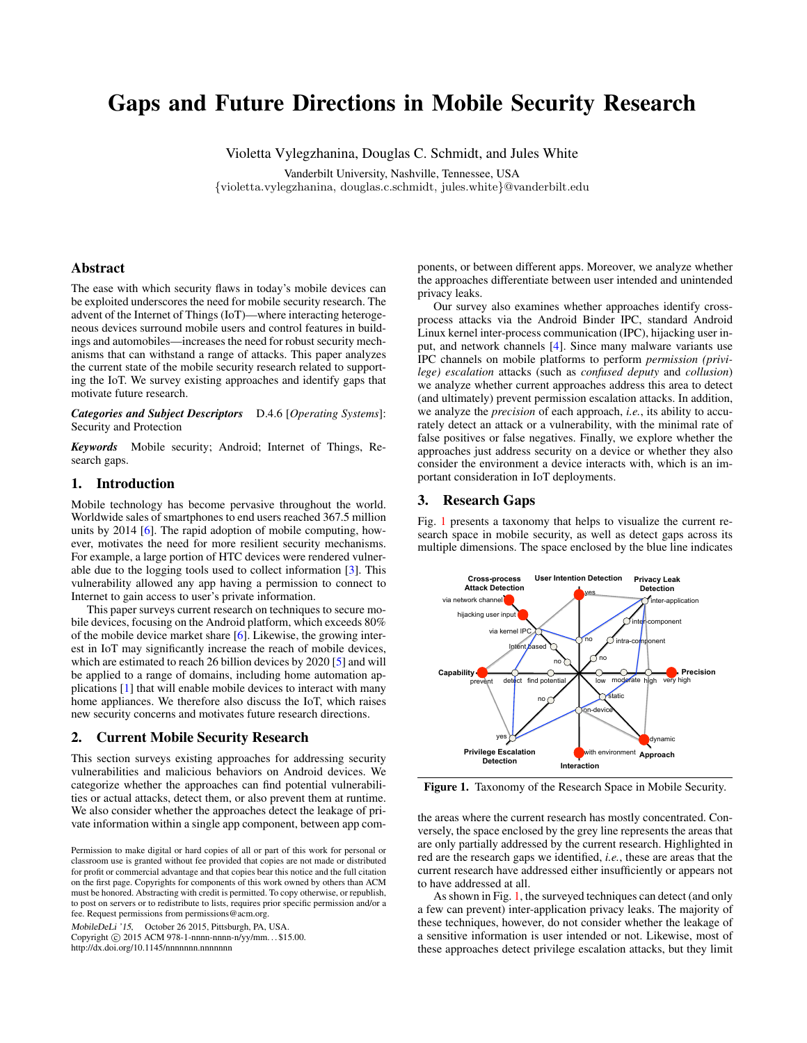# Gaps and Future Directions in Mobile Security Research

Violetta Vylegzhanina, Douglas C. Schmidt, and Jules White

Vanderbilt University, Nashville, Tennessee, USA {violetta.vylegzhanina, douglas.c.schmidt, jules.white}@vanderbilt.edu

# Abstract

The ease with which security flaws in today's mobile devices can be exploited underscores the need for mobile security research. The advent of the Internet of Things (IoT)—where interacting heterogeneous devices surround mobile users and control features in buildings and automobiles—increases the need for robust security mechanisms that can withstand a range of attacks. This paper analyzes the current state of the mobile security research related to supporting the IoT. We survey existing approaches and identify gaps that motivate future research.

*Categories and Subject Descriptors* D.4.6 [*Operating Systems*]: Security and Protection

*Keywords* Mobile security; Android; Internet of Things, Research gaps.

## 1. Introduction

Mobile technology has become pervasive throughout the world. Worldwide sales of smartphones to end users reached 367.5 million units by 2014 [\[6\]](#page-1-0). The rapid adoption of mobile computing, however, motivates the need for more resilient security mechanisms. For example, a large portion of HTC devices were rendered vulnerable due to the logging tools used to collect information [\[3\]](#page-1-1). This vulnerability allowed any app having a permission to connect to Internet to gain access to user's private information.

This paper surveys current research on techniques to secure mobile devices, focusing on the Android platform, which exceeds 80% of the mobile device market share [\[6\]](#page-1-0). Likewise, the growing interest in IoT may significantly increase the reach of mobile devices, which are estimated to reach 26 billion devices by 2020 [\[5\]](#page-1-2) and will be applied to a range of domains, including home automation applications [\[1\]](#page-1-3) that will enable mobile devices to interact with many home appliances. We therefore also discuss the IoT, which raises new security concerns and motivates future research directions.

#### 2. Current Mobile Security Research

This section surveys existing approaches for addressing security vulnerabilities and malicious behaviors on Android devices. We categorize whether the approaches can find potential vulnerabilities or actual attacks, detect them, or also prevent them at runtime. We also consider whether the approaches detect the leakage of private information within a single app component, between app com-

MobileDeLi '15, October 26 2015, Pittsburgh, PA, USA.

Copyright © 2015 ACM 978-1-nnnn-nnnn-n/yy/mm...\$15.00. http://dx.doi.org/10.1145/nnnnnnn.nnnnnnn

ponents, or between different apps. Moreover, we analyze whether the approaches differentiate between user intended and unintended privacy leaks.

Our survey also examines whether approaches identify crossprocess attacks via the Android Binder IPC, standard Android Linux kernel inter-process communication (IPC), hijacking user input, and network channels [\[4\]](#page-1-4). Since many malware variants use IPC channels on mobile platforms to perform *permission (privilege) escalation* attacks (such as *confused deputy* and *collusion*) we analyze whether current approaches address this area to detect (and ultimately) prevent permission escalation attacks. In addition, we analyze the *precision* of each approach, *i.e.*, its ability to accurately detect an attack or a vulnerability, with the minimal rate of false positives or false negatives. Finally, we explore whether the approaches just address security on a device or whether they also consider the environment a device interacts with, which is an important consideration in IoT deployments.

## 3. Research Gaps

Fig. [1](#page-0-0) presents a taxonomy that helps to visualize the current research space in mobile security, as well as detect gaps across its multiple dimensions. The space enclosed by the blue line indicates



<span id="page-0-0"></span>Figure 1. Taxonomy of the Research Space in Mobile Security.

the areas where the current research has mostly concentrated. Conversely, the space enclosed by the grey line represents the areas that are only partially addressed by the current research. Highlighted in red are the research gaps we identified, *i.e.*, these are areas that the current research have addressed either insufficiently or appears not to have addressed at all.

As shown in Fig. [1,](#page-0-0) the surveyed techniques can detect (and only a few can prevent) inter-application privacy leaks. The majority of these techniques, however, do not consider whether the leakage of a sensitive information is user intended or not. Likewise, most of these approaches detect privilege escalation attacks, but they limit

Permission to make digital or hard copies of all or part of this work for personal or classroom use is granted without fee provided that copies are not made or distributed for profit or commercial advantage and that copies bear this notice and the full citation on the first page. Copyrights for components of this work owned by others than ACM must be honored. Abstracting with credit is permitted. To copy otherwise, or republish, to post on servers or to redistribute to lists, requires prior specific permission and/or a fee. Request permissions from permissions@acm.org.